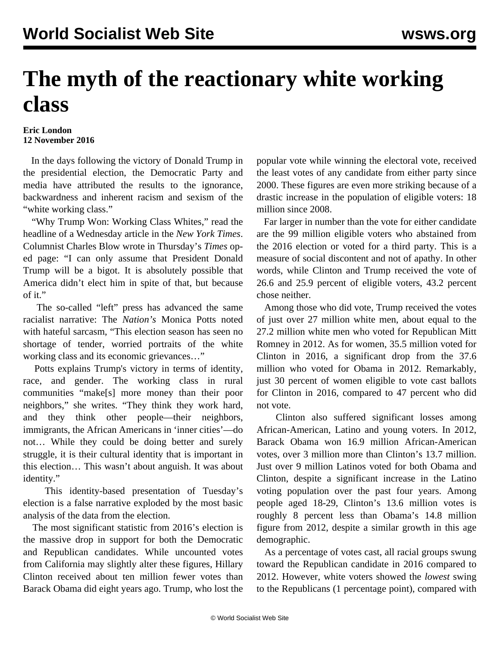## **The myth of the reactionary white working class**

## **Eric London 12 November 2016**

 In the days following the victory of Donald Trump in the presidential election, the Democratic Party and media have attributed the results to the ignorance, backwardness and inherent racism and sexism of the "white working class."

 "Why Trump Won: Working Class Whites," read the headline of a Wednesday article in the *New York Times*. Columnist Charles Blow wrote in Thursday's *Times* oped page: "I can only assume that President Donald Trump will be a bigot. It is absolutely possible that America didn't elect him in spite of that, but because of it."

 The so-called "left" press has advanced the same racialist narrative: The *Nation's* Monica Potts noted with hateful sarcasm, "This election season has seen no shortage of tender, worried portraits of the white working class and its economic grievances…"

 Potts explains Trump's victory in terms of identity, race, and gender. The working class in rural communities "make[s] more money than their poor neighbors," she writes. "They think they work hard, and they think other people—their neighbors, immigrants, the African Americans in 'inner cities'—do not… While they could be doing better and surely struggle, it is their cultural identity that is important in this election… This wasn't about anguish. It was about identity."

 This identity-based presentation of Tuesday's election is a false narrative exploded by the most basic analysis of the data from the election.

 The most significant statistic from 2016's election is the massive drop in support for both the Democratic and Republican candidates. While uncounted votes from California may slightly alter these figures, Hillary Clinton received about ten million fewer votes than Barack Obama did eight years ago. Trump, who lost the popular vote while winning the electoral vote, received the least votes of any candidate from either party since 2000. These figures are even more striking because of a drastic increase in the population of eligible voters: 18 million since 2008.

 Far larger in number than the vote for either candidate are the 99 million eligible voters who abstained from the 2016 election or voted for a third party. This is a measure of social discontent and not of apathy. In other words, while Clinton and Trump received the vote of 26.6 and 25.9 percent of eligible voters, 43.2 percent chose neither.

 Among those who did vote, Trump received the votes of just over 27 million white men, about equal to the 27.2 million white men who voted for Republican Mitt Romney in 2012. As for women, 35.5 million voted for Clinton in 2016, a significant drop from the 37.6 million who voted for Obama in 2012. Remarkably, just 30 percent of women eligible to vote cast ballots for Clinton in 2016, compared to 47 percent who did not vote.

 Clinton also suffered significant losses among African-American, Latino and young voters. In 2012, Barack Obama won 16.9 million African-American votes, over 3 million more than Clinton's 13.7 million. Just over 9 million Latinos voted for both Obama and Clinton, despite a significant increase in the Latino voting population over the past four years. Among people aged 18-29, Clinton's 13.6 million votes is roughly 8 percent less than Obama's 14.8 million figure from 2012, despite a similar growth in this age demographic.

 As a percentage of votes cast, all racial groups swung toward the Republican candidate in 2016 compared to 2012. However, white voters showed the *lowest* swing to the Republicans (1 percentage point), compared with